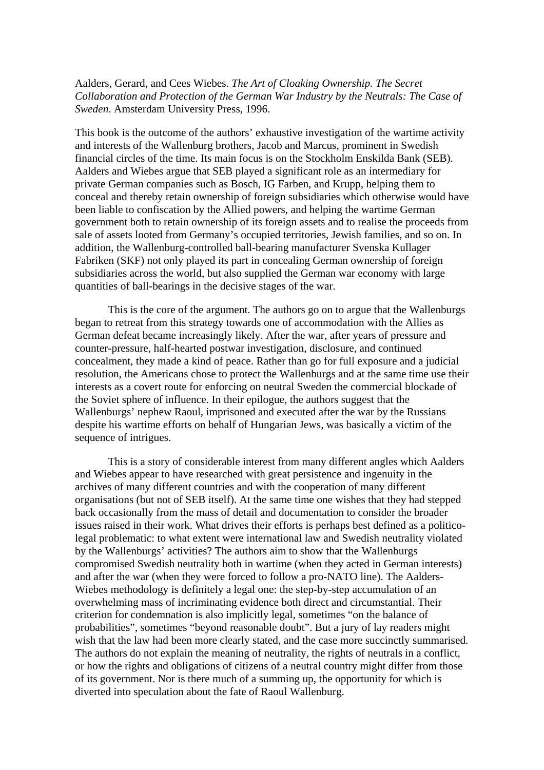Aalders, Gerard, and Cees Wiebes. *The Art of Cloaking Ownership. The Secret Collaboration and Protection of the German War Industry by the Neutrals: The Case of Sweden*. Amsterdam University Press, 1996.

This book is the outcome of the authors' exhaustive investigation of the wartime activity and interests of the Wallenburg brothers, Jacob and Marcus, prominent in Swedish financial circles of the time. Its main focus is on the Stockholm Enskilda Bank (SEB). Aalders and Wiebes argue that SEB played a significant role as an intermediary for private German companies such as Bosch, IG Farben, and Krupp, helping them to conceal and thereby retain ownership of foreign subsidiaries which otherwise would have been liable to confiscation by the Allied powers, and helping the wartime German government both to retain ownership of its foreign assets and to realise the proceeds from sale of assets looted from Germany's occupied territories, Jewish families, and so on. In addition, the Wallenburg-controlled ball-bearing manufacturer Svenska Kullager Fabriken (SKF) not only played its part in concealing German ownership of foreign subsidiaries across the world, but also supplied the German war economy with large quantities of ball-bearings in the decisive stages of the war.

This is the core of the argument. The authors go on to argue that the Wallenburgs began to retreat from this strategy towards one of accommodation with the Allies as German defeat became increasingly likely. After the war, after years of pressure and counter-pressure, half-hearted postwar investigation, disclosure, and continued concealment, they made a kind of peace. Rather than go for full exposure and a judicial resolution, the Americans chose to protect the Wallenburgs and at the same time use their interests as a covert route for enforcing on neutral Sweden the commercial blockade of the Soviet sphere of influence. In their epilogue, the authors suggest that the Wallenburgs' nephew Raoul, imprisoned and executed after the war by the Russians despite his wartime efforts on behalf of Hungarian Jews, was basically a victim of the sequence of intrigues.

This is a story of considerable interest from many different angles which Aalders and Wiebes appear to have researched with great persistence and ingenuity in the archives of many different countries and with the cooperation of many different organisations (but not of SEB itself). At the same time one wishes that they had stepped back occasionally from the mass of detail and documentation to consider the broader issues raised in their work. What drives their efforts is perhaps best defined as a politicolegal problematic: to what extent were international law and Swedish neutrality violated by the Wallenburgs' activities? The authors aim to show that the Wallenburgs compromised Swedish neutrality both in wartime (when they acted in German interests) and after the war (when they were forced to follow a pro-NATO line). The Aalders-Wiebes methodology is definitely a legal one: the step-by-step accumulation of an overwhelming mass of incriminating evidence both direct and circumstantial. Their criterion for condemnation is also implicitly legal, sometimes "on the balance of probabilities", sometimes "beyond reasonable doubt". But a jury of lay readers might wish that the law had been more clearly stated, and the case more succinctly summarised. The authors do not explain the meaning of neutrality, the rights of neutrals in a conflict, or how the rights and obligations of citizens of a neutral country might differ from those of its government. Nor is there much of a summing up, the opportunity for which is diverted into speculation about the fate of Raoul Wallenburg.